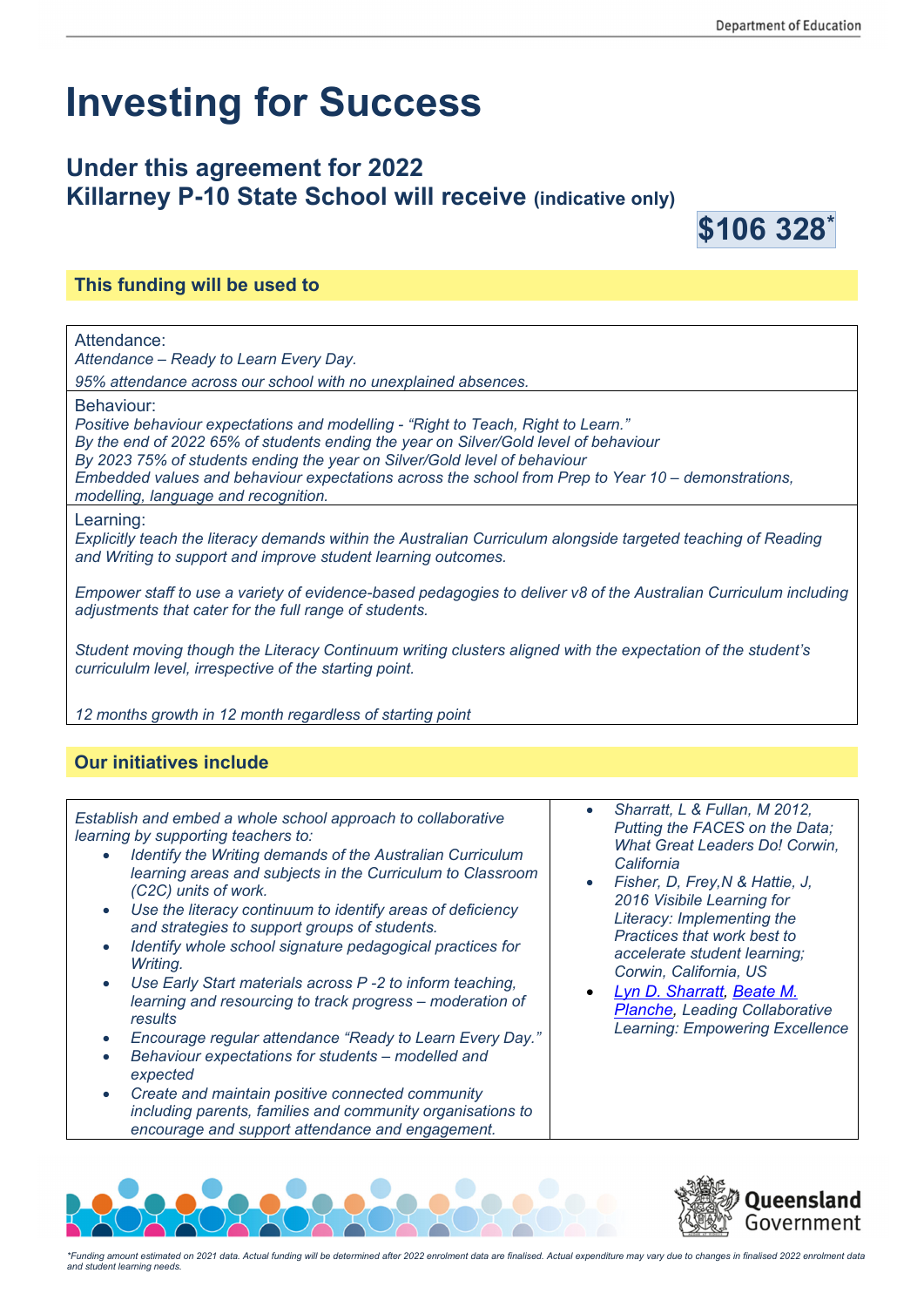# **Investing for Success**

# **Under this agreement for 2022 Killarney P-10 State School will receive (indicative only)**



## **This funding will be used to**

Attendance:

*Attendance – Ready to Learn Every Day.* 

*95% attendance across our school with no unexplained absences.* 

Behaviour:

*Positive behaviour expectations and modelling - "Right to Teach, Right to Learn."* 

*By the end of 2022 65% of students ending the year on Silver/Gold level of behaviour* 

*By 2023 75% of students ending the year on Silver/Gold level of behaviour* 

*Embedded values and behaviour expectations across the school from Prep to Year 10 – demonstrations, modelling, language and recognition.* 

Learning:

*Explicitly teach the literacy demands within the Australian Curriculum alongside targeted teaching of Reading and Writing to support and improve student learning outcomes.* 

*Empower staff to use a variety of evidence-based pedagogies to deliver v8 of the Australian Curriculum including adjustments that cater for the full range of students.* 

*Student moving though the Literacy Continuum writing clusters aligned with the expectation of the student's curricululm level, irrespective of the starting point.* 

*12 months growth in 12 month regardless of starting point*

### **Our initiatives include**

*Establish and embed a whole school approach to collaborative learning by supporting teachers to:* 

- *Identify the Writing demands of the Australian Curriculum learning areas and subjects in the Curriculum to Classroom (C2C) units of work.*
- *Use the literacy continuum to identify areas of deficiency and strategies to support groups of students.*
- *Identify whole school signature pedagogical practices for Writing.*
- *Use Early Start materials across P -2 to inform teaching, learning and resourcing to track progress – moderation of results*
- *Encourage regular attendance "Ready to Learn Every Day."*
- *Behaviour expectations for students modelled and expected*
- *Create and maintain positive connected community including parents, families and community organisations to encourage and support attendance and engagement.*
- *Sharratt, L & Fullan, M 2012, Putting the FACES on the Data; What Great Leaders Do! Corwin, California*
- *Fisher, D, Frey,N & Hattie, J, 2016 Visibile Learning for Literacy: Implementing the Practices that work best to accelerate student learning; Corwin, California, US*
- *Lyn D. Sharratt, Beate M. Planche, Leading Collaborative Learning: Empowering Excellence*





*\*Funding amount estimated on 2021 data. Actual funding will be determined after 2022 enrolment data are finalised. Actual expenditure may vary due to changes in finalised 2022 enrolment data and student learning needs.*